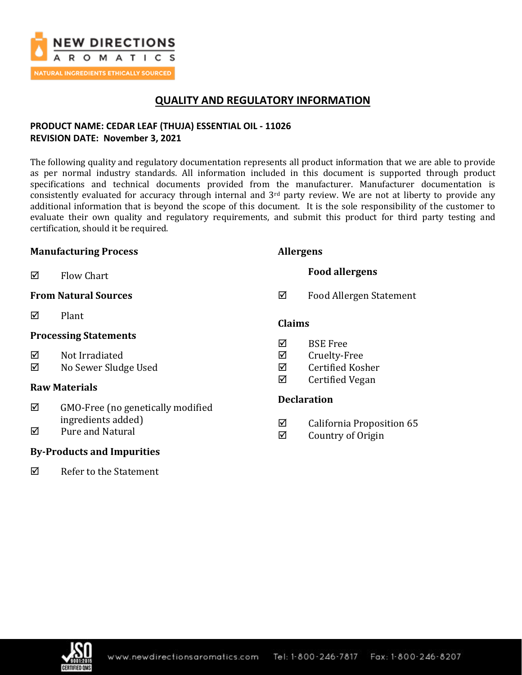

## **QUALITY AND REGULATORY INFORMATION**

## **PRODUCT NAME: CEDAR LEAF (THUJA) ESSENTIAL OIL - 11026 REVISION DATE: November 3, 2021**

The following quality and regulatory documentation represents all product information that we are able to provide as per normal industry standards. All information included in this document is supported through product specifications and technical documents provided from the manufacturer. Manufacturer documentation is consistently evaluated for accuracy through internal and  $3<sup>rd</sup>$  party review. We are not at liberty to provide any additional information that is beyond the scope of this document. It is the sole responsibility of the customer to evaluate their own quality and regulatory requirements, and submit this product for third party testing and certification, should it be required.

#### **Manufacturing Process**

 $\boxtimes$  Flow Chart

## **From Natural Sources**

 $\nabla$  Plant

### **Processing Statements**

 $\boxtimes$  Not Irradiated

No Sewer Sludge Used

## **Raw Materials**

- $\boxtimes$  GMO-Free (no genetically modified ingredients added)
- $\boxtimes$  Pure and Natural

## **By-Products and Impurities**

 $\boxtimes$  Refer to the Statement

### **Allergens**

**Food allergens**

Food Allergen Statement

### **Claims**

- $\nabla$  BSE Free
- $\boxtimes$  Cruelty-Free
- $\boxtimes$  Certified Kosher
- $\boxtimes$  Certified Vegan

## **Declaration**

- $\boxtimes$  California Proposition 65
- $\boxtimes$  Country of Origin

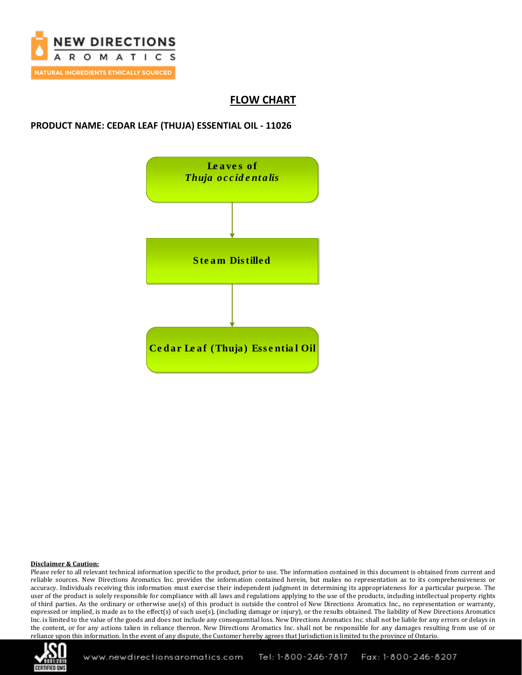

## **FLOW CHART**

### **PRODUCT NAME: CEDAR LEAF (THUJA) ESSENTIAL OIL - 11026**



#### **Disclaimer & Caution:**

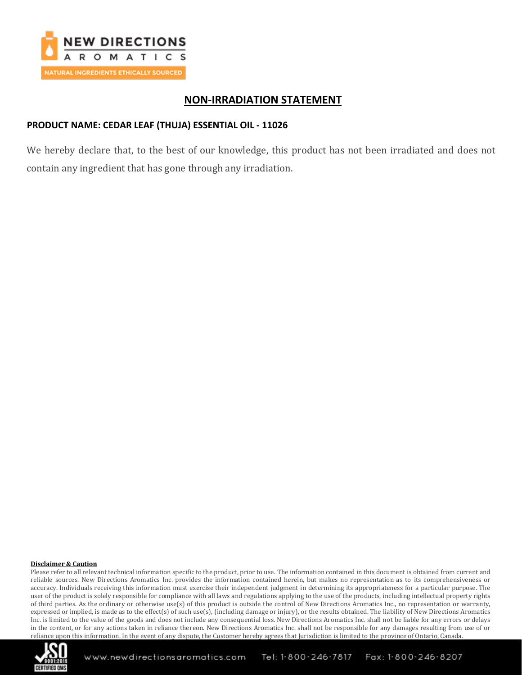

## **NON-IRRADIATION STATEMENT**

### **PRODUCT NAME: CEDAR LEAF (THUJA) ESSENTIAL OIL - 11026**

We hereby declare that, to the best of our knowledge, this product has not been irradiated and does not contain any ingredient that has gone through any irradiation.

#### **Disclaimer & Caution**

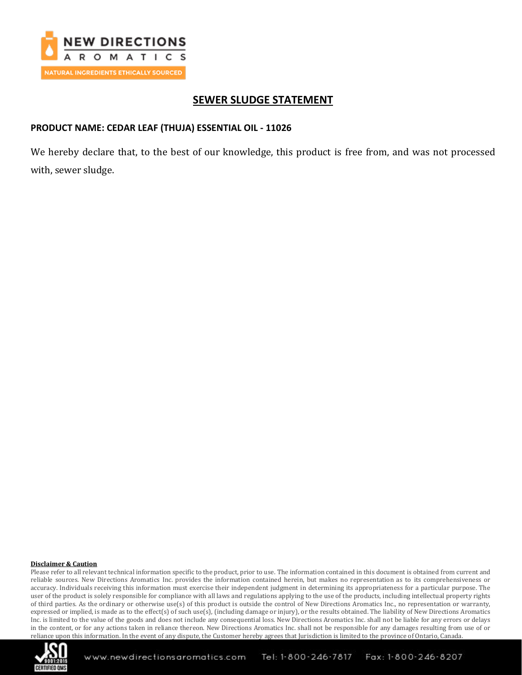

## **SEWER SLUDGE STATEMENT**

#### **PRODUCT NAME: CEDAR LEAF (THUJA) ESSENTIAL OIL - 11026**

We hereby declare that, to the best of our knowledge, this product is free from, and was not processed with, sewer sludge.

#### **Disclaimer & Caution**

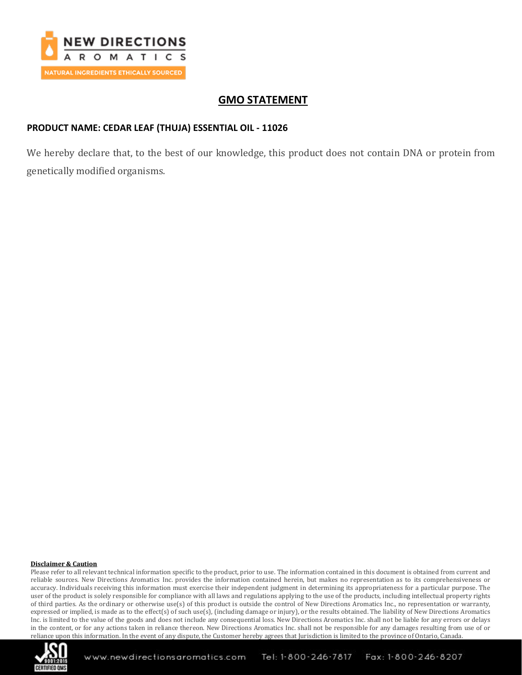

## **GMO STATEMENT**

### **PRODUCT NAME: CEDAR LEAF (THUJA) ESSENTIAL OIL - 11026**

We hereby declare that, to the best of our knowledge, this product does not contain DNA or protein from genetically modified organisms.

#### **Disclaimer & Caution**

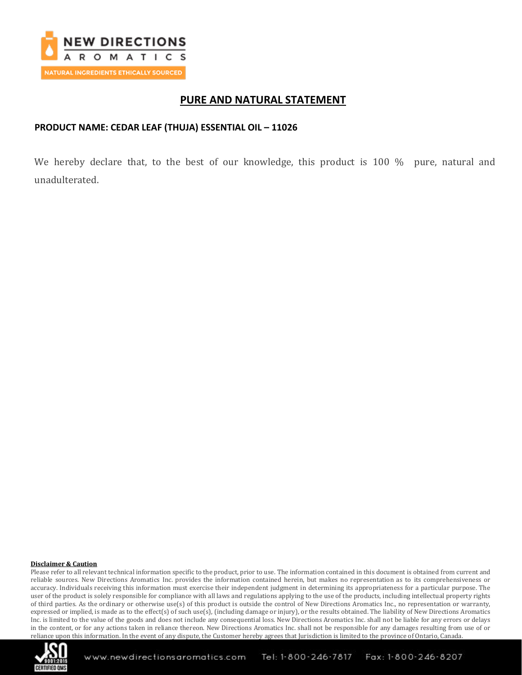

## **PURE AND NATURAL STATEMENT**

### **PRODUCT NAME: CEDAR LEAF (THUJA) ESSENTIAL OIL – 11026**

We hereby declare that, to the best of our knowledge, this product is 100 % pure, natural and unadulterated.

#### **Disclaimer & Caution**

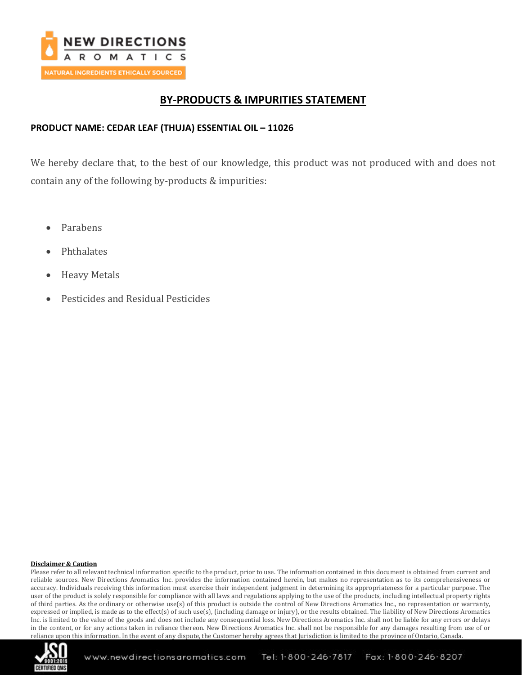

# **BY-PRODUCTS & IMPURITIES STATEMENT**

### **PRODUCT NAME: CEDAR LEAF (THUJA) ESSENTIAL OIL – 11026**

We hereby declare that, to the best of our knowledge, this product was not produced with and does not contain any of the following by-products & impurities:

- Parabens
- Phthalates
- Heavy Metals
- Pesticides and Residual Pesticides

#### **Disclaimer & Caution**

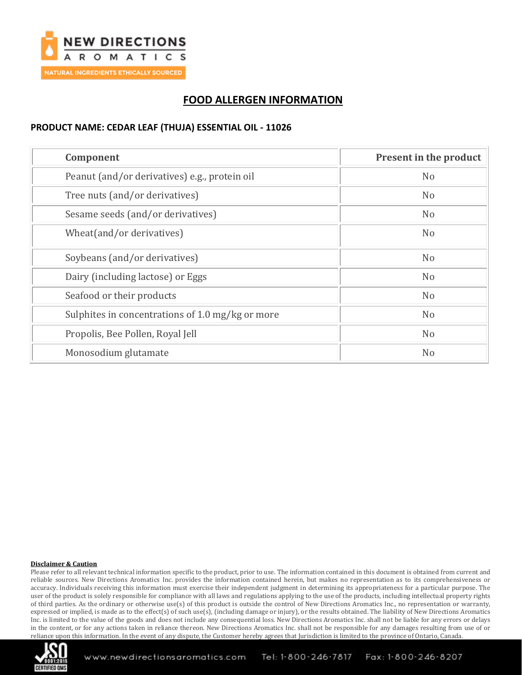

# **FOOD ALLERGEN INFORMATION**

### **PRODUCT NAME: CEDAR LEAF (THUJA) ESSENTIAL OIL - 11026**

| Component                                        | Present in the product |
|--------------------------------------------------|------------------------|
| Peanut (and/or derivatives) e.g., protein oil    | N <sub>o</sub>         |
| Tree nuts (and/or derivatives)                   | N <sub>o</sub>         |
| Sesame seeds (and/or derivatives)                | N <sub>o</sub>         |
| Wheat(and/or derivatives)                        | N <sub>o</sub>         |
| Soybeans (and/or derivatives)                    | N <sub>o</sub>         |
| Dairy (including lactose) or Eggs                | N <sub>o</sub>         |
| Seafood or their products                        | N <sub>o</sub>         |
| Sulphites in concentrations of 1.0 mg/kg or more | N <sub>o</sub>         |
| Propolis, Bee Pollen, Royal Jell                 | N <sub>o</sub>         |
| Monosodium glutamate                             | N <sub>o</sub>         |

#### **Disclaimer & Caution**

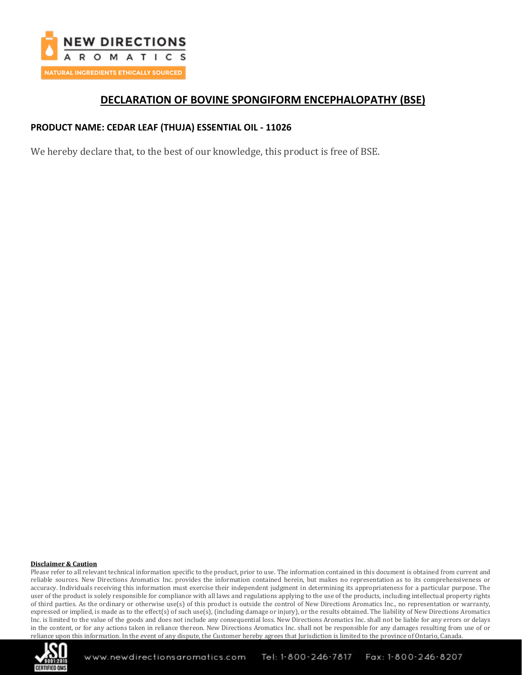

## **DECLARATION OF BOVINE SPONGIFORM ENCEPHALOPATHY (BSE)**

### **PRODUCT NAME: CEDAR LEAF (THUJA) ESSENTIAL OIL - 11026**

We hereby declare that, to the best of our knowledge, this product is free of BSE.

#### **Disclaimer & Caution**

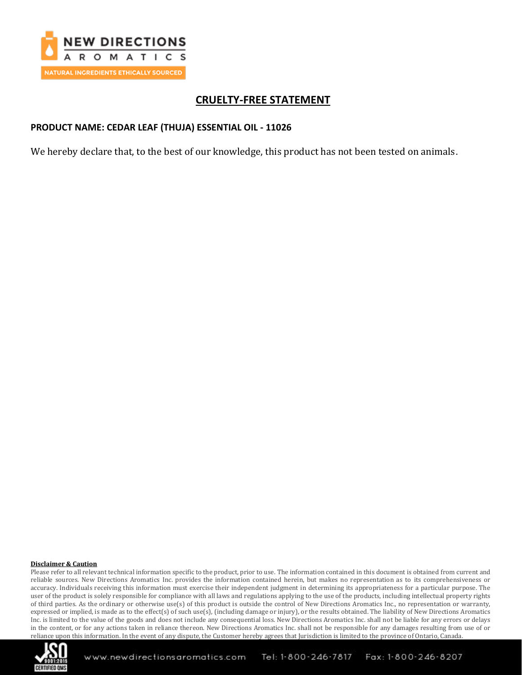

# **CRUELTY-FREE STATEMENT**

### **PRODUCT NAME: CEDAR LEAF (THUJA) ESSENTIAL OIL - 11026**

We hereby declare that, to the best of our knowledge, this product has not been tested on animals.

#### **Disclaimer & Caution**

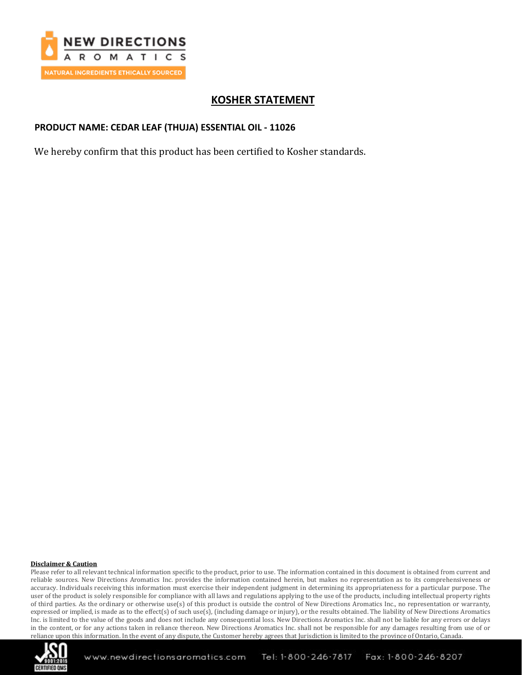

# **KOSHER STATEMENT**

### **PRODUCT NAME: CEDAR LEAF (THUJA) ESSENTIAL OIL - 11026**

We hereby confirm that this product has been certified to Kosher standards.

#### **Disclaimer & Caution**

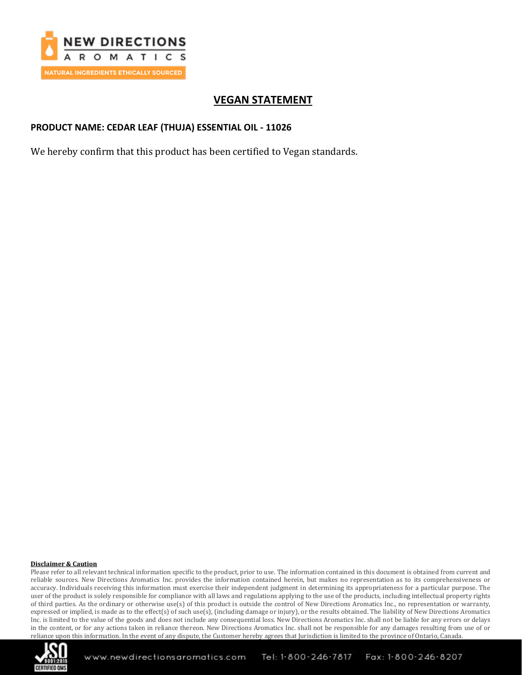

# **VEGAN STATEMENT**

### **PRODUCT NAME: CEDAR LEAF (THUJA) ESSENTIAL OIL - 11026**

We hereby confirm that this product has been certified to Vegan standards.

#### **Disclaimer & Caution**

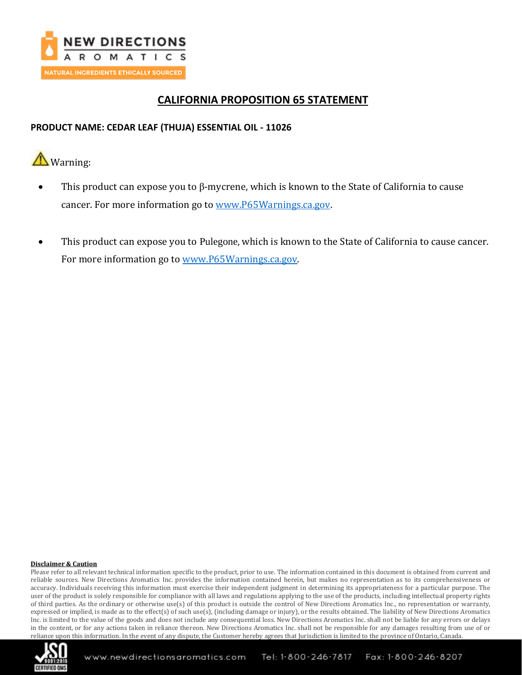

# **CALIFORNIA PROPOSITION 65 STATEMENT**

### **PRODUCT NAME: CEDAR LEAF (THUJA) ESSENTIAL OIL - 11026**

**A** Warning:

- This product can expose you to β-mycrene, which is known to the State of California to cause cancer. For more information go to [www.P65Warnings.ca.gov.](http://www.p65warnings.ca.gov/)
- This product can expose you to Pulegone, which is known to the State of California to cause cancer. For more information go to [www.P65Warnings.ca.gov.](http://www.p65warnings.ca.gov/)

#### **Disclaimer & Caution**